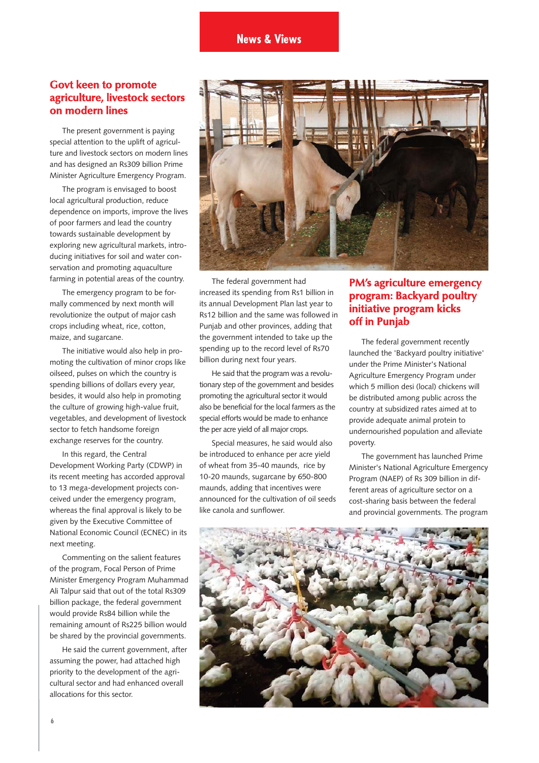# **Govt keen to promote agriculture, livestock sectors on modern lines**

The present government is paying special attention to the uplift of agriculture and livestock sectors on modern lines and has designed an Rs309 billion Prime Minister Agriculture Emergency Program.

The program is envisaged to boost local agricultural production, reduce dependence on imports, improve the lives of poor farmers and lead the country towards sustainable development by exploring new agricultural markets, introducing initiatives for soil and water conservation and promoting aquaculture farming in potential areas of the country.

The emergency program to be formally commenced by next month will revolutionize the output of major cash crops including wheat, rice, cotton, maize, and sugarcane.

The initiative would also help in promoting the cultivation of minor crops like oilseed, pulses on which the country is spending billions of dollars every year, besides, it would also help in promoting the culture of growing high-value fruit, vegetables, and development of livestock sector to fetch handsome foreign exchange reserves for the country.

In this regard, the Central Development Working Party (CDWP) in its recent meeting has accorded approval to 13 mega-development projects conceived under the emergency program, whereas the final approval is likely to be given by the Executive Committee of National Economic Council (ECNEC) in its next meeting.

Commenting on the salient features of the program, Focal Person of Prime Minister Emergency Program Muhammad Ali Talpur said that out of the total Rs309 billion package, the federal government would provide Rs84 billion while the remaining amount of Rs225 billion would be shared by the provincial governments.

He said the current government, after assuming the power, had attached high priority to the development of the agricultural sector and had enhanced overall allocations for this sector.



The federal government had increased its spending from Rs1 billion in its annual Development Plan last year to Rs12 billion and the same was followed in Punjab and other provinces, adding that the government intended to take up the spending up to the record level of Rs70 billion during next four years.

He said that the program was a revolutionary step of the government and besides promoting the agricultural sector it would also be beneficial for the local farmers as the special efforts would be made to enhance the per acre yield of all major crops.

Special measures, he said would also be introduced to enhance per acre yield of wheat from 35-40 maunds, rice by 10-20 maunds, sugarcane by 650-800 maunds, adding that incentives were announced for the cultivation of oil seeds like canola and sunflower.

# **PM's agriculture emergency program: Backyard poultry initiative program kicks off in Punjab**

The federal government recently launched the 'Backyard poultry initiative' under the Prime Minister's National Agriculture Emergency Program under which 5 million desi (local) chickens will be distributed among public across the country at subsidized rates aimed at to provide adequate animal protein to undernourished population and alleviate poverty.

The government has launched Prime Minister's National Agriculture Emergency Program (NAEP) of Rs 309 billion in different areas of agriculture sector on a cost-sharing basis between the federal and provincial governments. The program

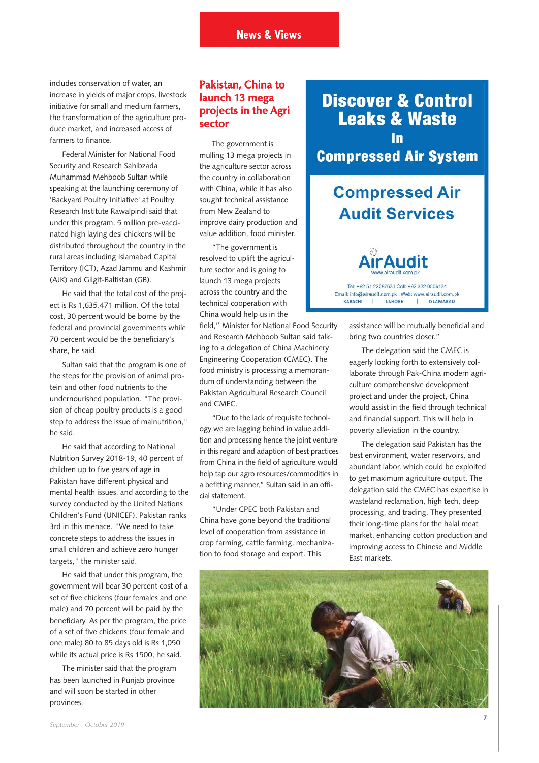includes conservation of water, an increase in yields of major crops, livestock initiative for small and medium farmers, the transformation of the agriculture produce market, and increased access of farmers to finance.

Federal Minister for National Food Security and Research Sahibzada Muhammad Mehboob Sultan while speaking at the launching ceremony of 'Backyard Poultry Initiative' at Poultry Research Institute Rawalpindi said that under this program, 5 million pre-vaccinated high laying desi chickens will be distributed throughout the country in the rural areas including Islamabad Capital Territory (ICT), Azad Jammu and Kashmir (AJK) and Gilgit-Baltistan (GB).

He said that the total cost of the project is Rs 1,635.471 million. Of the total cost, 30 percent would be borne by the federal and provincial governments while 70 percent would be the beneficiary's share, he said.

Sultan said that the program is one of the steps for the provision of animal protein and other food nutrients to the undernourished population. "The provision of cheap poultry products is a good step to address the issue of malnutrition," he said.

He said that according to National Nutrition Survey 2018-19, 40 percent of children up to five years of age in Pakistan have different physical and mental health issues, and according to the survey conducted by the United Nations Children's Fund (UNICEF), Pakistan ranks 3rd in this menace. "We need to take concrete steps to address the issues in small children and achieve zero hunger targets," the minister said.

He said that under this program, the government will bear 30 percent cost of a set of five chickens (four females and one male) and 70 percent will be paid by the beneficiary. As per the program, the price of a set of five chickens (four female and one male) 80 to 85 days old is Rs 1,050 while its actual price is Rs 1500, he said.

The minister said that the program has been launched in Punjab province and will soon be started in other provinces.

# **Pakistan, China to launch 13 mega projects in the Agri sector**

The government is mulling 13 mega projects in the agriculture sector across the country in collaboration with China, while it has also sought technical assistance from New Zealand to improve dairy production and value addition, food minister.

"The government is resolved to uplift the agriculture sector and is going to launch 13 mega projects across the country and the technical cooperation with China would help us in the

field," Minister for National Food Security and Research Mehboob Sultan said talking to a delegation of China Machinery Engineering Cooperation (CMEC). The food ministry is processing a memorandum of understanding between the Pakistan Agricultural Research Council and CMEC.

"Due to the lack of requisite technology we are lagging behind in value addition and processing hence the joint venture in this regard and adaption of best practices from China in the field of agriculture would help tap our agro resources/commodities in a befitting manner," Sultan said in an official statement.

"Under CPEC both Pakistan and China have gone beyond the traditional level of cooperation from assistance in crop farming, cattle farming, mechanization to food storage and export. This

**Discover & Control Leaks & Waste** In **Compressed Air System** 

# **Compressed Air Audit Services**

Tel: +92.51.2228763 | Cell: +92.332.0506134 Email: info@airaudit.com.pk | Web: www.airaudit.com.pk **ISLAMABAD** LAHORE KARACHI  $\mathbf{I}$  $\mathbf{L}$ 

> assistance will be mutually beneficial and bring two countries closer."

The delegation said the CMEC is eagerly looking forth to extensively collaborate through Pak-China modern agriculture comprehensive development project and under the project, China would assist in the field through technical and financial support. This will help in poverty alleviation in the country.

The delegation said Pakistan has the best environment, water reservoirs, and abundant labor, which could be exploited to get maximum agriculture output. The delegation said the CMEC has expertise in wasteland reclamation, high tech, deep processing, and trading. They presented their long-time plans for the halal meat market, enhancing cotton production and improving access to Chinese and Middle East markets.

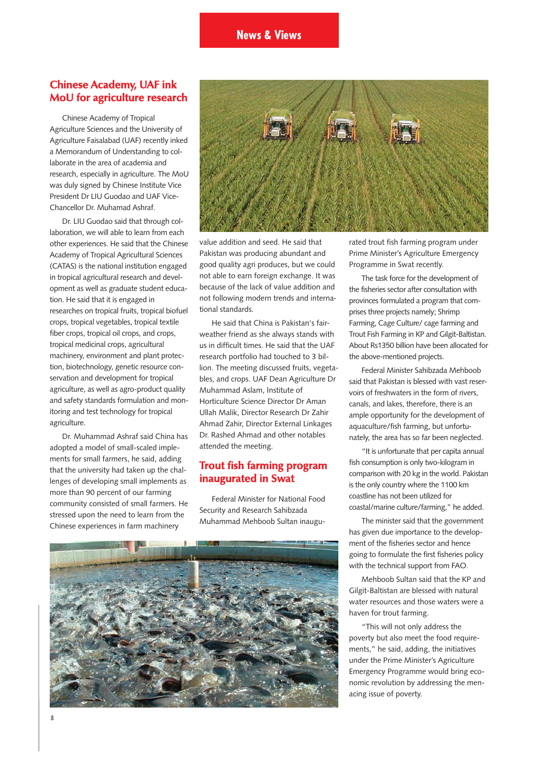## **Chinese Academy, UAF ink MoU for agriculture research**

Chinese Academy of Tropical Agriculture Sciences and the University of Agriculture Faisalabad (UAF) recently inked a Memorandum of Understanding to collaborate in the area of academia and research, especially in agriculture. The MoU was duly signed by Chinese Institute Vice President Dr LIU Guodao and UAF Vice-Chancellor Dr. Muhamad Ashraf.

Dr. LIU Guodao said that through collaboration, we will able to learn from each other experiences. He said that the Chinese Academy of Tropical Agricultural Sciences (CATAS) is the national institution engaged in tropical agricultural research and development as well as graduate student education. He said that it is engaged in researches on tropical fruits, tropical biofuel crops, tropical vegetables, tropical textile fiber crops, tropical oil crops, and crops, tropical medicinal crops, agricultural machinery, environment and plant protection, biotechnology, genetic resource conservation and development for tropical agriculture, as well as agro-product quality and safety standards formulation and monitoring and test technology for tropical agriculture.

Dr. Muhammad Ashraf said China has adopted a model of small-scaled implements for small farmers, he said, adding that the university had taken up the challenges of developing small implements as more than 90 percent of our farming community consisted of small farmers. He stressed upon the need to learn from the Chinese experiences in farm machinery



value addition and seed. He said that Pakistan was producing abundant and good quality agri produces, but we could not able to earn foreign exchange. It was because of the lack of value addition and not following modern trends and international standards.

He said that China is Pakistan's fairweather friend as she always stands with us in difficult times. He said that the UAF research portfolio had touched to 3 billion. The meeting discussed fruits, vegetables, and crops. UAF Dean Agriculture Dr Muhammad Aslam, Institute of Horticulture Science Director Dr Aman Ullah Malik, Director Research Dr Zahir Ahmad Zahir, Director External Linkages Dr. Rashed Ahmad and other notables attended the meeting.

#### **Trout fish farming program inaugurated in Swat**

Federal Minister for National Food Security and Research Sahibzada Muhammad Mehboob Sultan inaugu-



rated trout fish farming program under Prime Minister's Agriculture Emergency Programme in Swat recently.

The task force for the development of the fisheries sector after consultation with provinces formulated a program that comprises three projects namely; Shrimp Farming, Cage Culture/ cage farming and Trout Fish Farming in KP and Gilgit-Baltistan. About Rs1350 billion have been allocated for the above-mentioned projects.

Federal Minister Sahibzada Mehboob said that Pakistan is blessed with vast reservoirs of freshwaters in the form of rivers, canals, and lakes, therefore, there is an ample opportunity for the development of aquaculture/fish farming, but unfortunately, the area has so far been neglected.

"It is unfortunate that per capita annual fish consumption is only two-kilogram in comparison with 20 kg in the world. Pakistan is the only country where the 1100 km coastline has not been utilized for coastal/marine culture/farming," he added.

The minister said that the government has given due importance to the development of the fisheries sector and hence going to formulate the first fisheries policy with the technical support from FAO.

Mehboob Sultan said that the KP and Gilgit-Baltistan are blessed with natural water resources and those waters were a haven for trout farming.

"This will not only address the poverty but also meet the food requirements," he said, adding, the initiatives under the Prime Minister's Agriculture Emergency Programme would bring economic revolution by addressing the menacing issue of poverty.